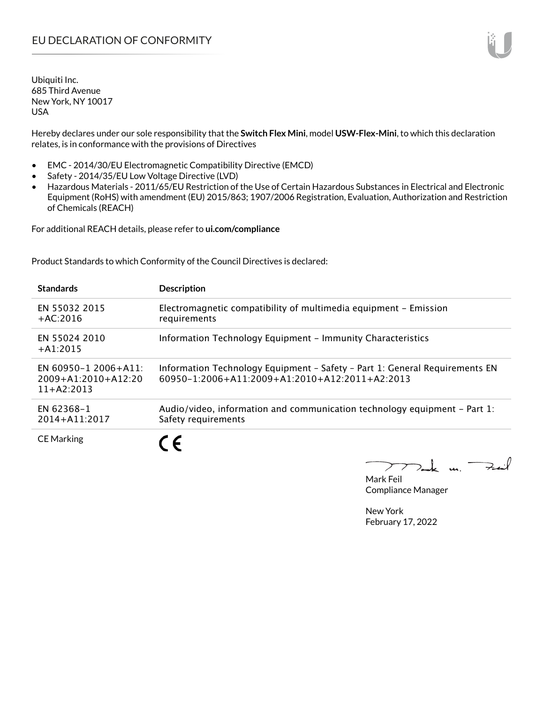Hereby declares under our sole responsibility that the **Switch Flex Mini**, model **USW-Flex-Mini**, to which this declaration relates, is in conformance with the provisions of Directives

- EMC 2014/30/EU Electromagnetic Compatibility Directive (EMCD)
- Safety 2014/35/EU Low Voltage Directive (LVD)
- Hazardous Materials 2011/65/EU Restriction of the Use of Certain Hazardous Substances in Electrical and Electronic Equipment (RoHS) with amendment (EU) 2015/863; 1907/2006 Registration, Evaluation, Authorization and Restriction of Chemicals (REACH)

For additional REACH details, please refer to **ui.com/compliance**

Product Standards to which Conformity of the Council Directives is declared:

| <b>Standards</b>                                                  | <b>Description</b>                                                                                                            |
|-------------------------------------------------------------------|-------------------------------------------------------------------------------------------------------------------------------|
| EN 55032 2015<br>$+AC:2016$                                       | Electromagnetic compatibility of multimedia equipment - Emission<br>requirements                                              |
| EN 55024 2010<br>$+ A1:2015$                                      | Information Technology Equipment - Immunity Characteristics                                                                   |
| EN 60950-1 2006+A11:<br>$2009 + A1:2010 + A12:20$<br>$11+42:2013$ | Information Technology Equipment - Safety - Part 1: General Requirements EN<br>60950-1:2006+A11:2009+A1:2010+A12:2011+A2:2013 |
| EN 62368-1<br>$2014 + A11:2017$                                   | Audio/video, information and communication technology equipment – Part 1:<br>Safety requirements                              |
| <b>CE Marking</b>                                                 |                                                                                                                               |

 $k$  un  $\rightarrow$  $\overline{\phantom{a}}$ 

Mark Feil Compliance Manager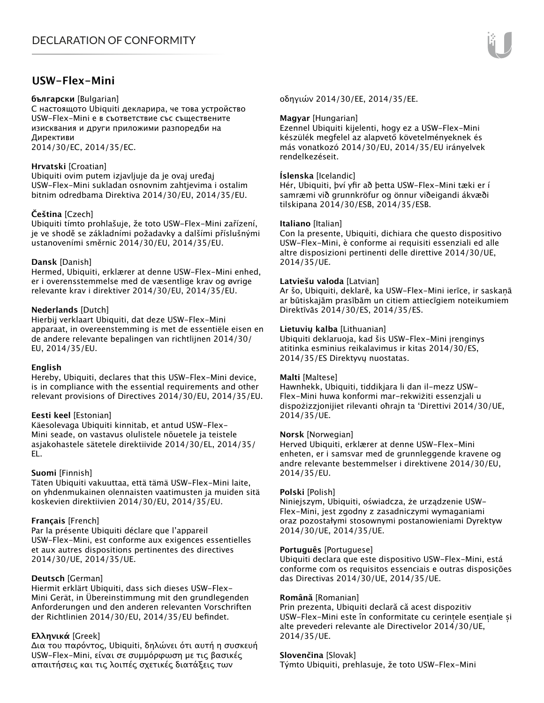## **USW-Flex-Mini**

### **български** [Bulgarian]

С настоящото Ubiquiti декларира, че това устройство USW-Flex-Mini е в съответствие със съществените изисквания и други приложими разпоредби на Директиви

2014/30/ЕС, 2014/35/ЕС.

## **Hrvatski** [Croatian]

Ubiquiti ovim putem izjavljuje da je ovaj uređaj USW-Flex-Mini sukladan osnovnim zahtjevima i ostalim bitnim odredbama Direktiva 2014/30/EU, 2014/35/EU.

## **Čeština** [Czech]

Ubiquiti tímto prohlašuje, že toto USW-Flex-Mini zařízení, je ve shodě se základními požadavky a dalšími příslušnými ustanoveními směrnic 2014/30/EU, 2014/35/EU.

## **Dansk** [Danish]

Hermed, Ubiquiti, erklærer at denne USW-Flex-Mini enhed, er i overensstemmelse med de væsentlige krav og øvrige relevante krav i direktiver 2014/30/EU, 2014/35/EU.

## **Nederlands** [Dutch]

Hierbij verklaart Ubiquiti, dat deze USW-Flex-Mini apparaat, in overeenstemming is met de essentiële eisen en de andere relevante bepalingen van richtlijnen 2014/30/ EU, 2014/35/EU.

#### **English**

Hereby, Ubiquiti, declares that this USW-Flex-Mini device, is in compliance with the essential requirements and other relevant provisions of Directives 2014/30/EU, 2014/35/EU.

#### **Eesti keel** [Estonian]

Käesolevaga Ubiquiti kinnitab, et antud USW-Flex-Mini seade, on vastavus olulistele nõuetele ja teistele asjakohastele sätetele direktiivide 2014/30/EL, 2014/35/ EL.

## **Suomi** [Finnish]

Täten Ubiquiti vakuuttaa, että tämä USW-Flex-Mini laite, on yhdenmukainen olennaisten vaatimusten ja muiden sitä koskevien direktiivien 2014/30/EU, 2014/35/EU.

#### **Français** [French]

Par la présente Ubiquiti déclare que l'appareil USW-Flex-Mini, est conforme aux exigences essentielles et aux autres dispositions pertinentes des directives 2014/30/UE, 2014/35/UE.

## **Deutsch** [German]

Hiermit erklärt Ubiquiti, dass sich dieses USW-Flex-Mini Gerät, in Übereinstimmung mit den grundlegenden Anforderungen und den anderen relevanten Vorschriften der Richtlinien 2014/30/EU, 2014/35/EU befindet.

## **Ελληνικά** [Greek]

Δια του παρόντος, Ubiquiti, δηλώνει ότι αυτή η συσκευή USW-Flex-Mini, είναι σε συμμόρφωση με τις βασικές απαιτήσεις και τις λοιπές σχετικές διατάξεις των

οδηγιών 2014/30/EE, 2014/35/EE.

### **Magyar** [Hungarian]

Ezennel Ubiquiti kijelenti, hogy ez a USW-Flex-Mini készülék megfelel az alapvető követelményeknek és más vonatkozó 2014/30/EU, 2014/35/EU irányelvek rendelkezéseit.

## **Íslenska** [Icelandic]

Hér, Ubiquiti, því yfir að þetta USW-Flex-Mini tæki er í samræmi við grunnkröfur og önnur viðeigandi ákvæði tilskipana 2014/30/ESB, 2014/35/ESB.

## **Italiano** [Italian]

Con la presente, Ubiquiti, dichiara che questo dispositivo USW-Flex-Mini, è conforme ai requisiti essenziali ed alle altre disposizioni pertinenti delle direttive 2014/30/UE, 2014/35/UE.

## **Latviešu valoda** [Latvian]

Ar šo, Ubiquiti, deklarē, ka USW-Flex-Mini ierīce, ir saskaņā ar būtiskajām prasībām un citiem attiecīgiem noteikumiem Direktīvās 2014/30/ES, 2014/35/ES.

## **Lietuvių kalba** [Lithuanian]

Ubiquiti deklaruoja, kad šis USW-Flex-Mini įrenginys atitinka esminius reikalavimus ir kitas 2014/30/ES, 2014/35/ES Direktyvų nuostatas.

#### **Malti** [Maltese]

Hawnhekk, Ubiquiti, tiddikjara li dan il-mezz USW-Flex-Mini huwa konformi mar-rekwiżiti essenzjali u dispożizzjonijiet rilevanti oħrajn ta 'Direttivi 2014/30/UE, 2014/35/UE.

#### **Norsk** [Norwegian]

Herved Ubiquiti, erklærer at denne USW-Flex-Mini enheten, er i samsvar med de grunnleggende kravene og andre relevante bestemmelser i direktivene 2014/30/EU, 2014/35/EU.

#### **Polski** [Polish]

Niniejszym, Ubiquiti, oświadcza, że urządzenie USW-Flex-Mini, jest zgodny z zasadniczymi wymaganiami oraz pozostałymi stosownymi postanowieniami Dyrektyw 2014/30/UE, 2014/35/UE.

#### **Português** [Portuguese]

Ubiquiti declara que este dispositivo USW-Flex-Mini, está conforme com os requisitos essenciais e outras disposições das Directivas 2014/30/UE, 2014/35/UE.

#### **Română** [Romanian]

Prin prezenta, Ubiquiti declară că acest dispozitiv USW-Flex-Mini este în conformitate cu cerințele esențiale și alte prevederi relevante ale Directivelor 2014/30/UE, 2014/35/UE.

#### **Slovenčina** [Slovak]

Týmto Ubiquiti, prehlasuje, že toto USW-Flex-Mini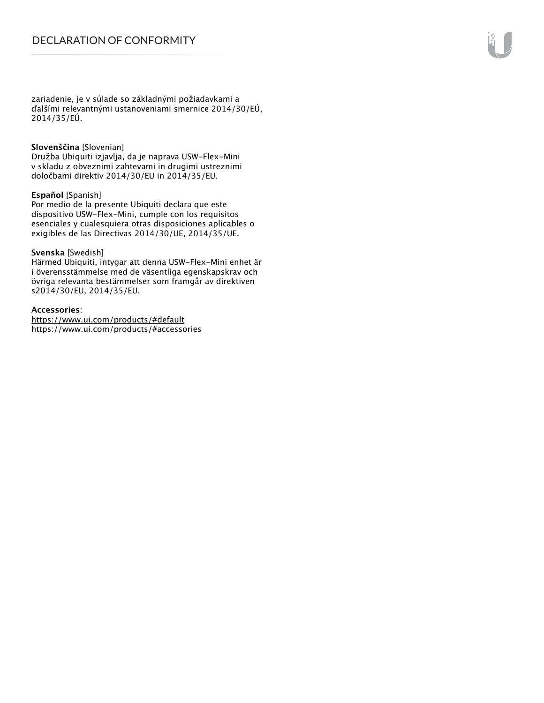zariadenie, je v súlade so základnými požiadavkami a ďalšími relevantnými ustanoveniami smernice 2014/30/EÚ, 2014/35/EÚ.

#### **Slovenščina** [Slovenian]

Družba Ubiquiti izjavlja, da je naprava USW-Flex-Mini v skladu z obveznimi zahtevami in drugimi ustreznimi določbami direktiv 2014/30/EU in 2014/35/EU.

## **Español** [Spanish]

Por medio de la presente Ubiquiti declara que este dispositivo USW-Flex-Mini, cumple con los requisitos esenciales y cualesquiera otras disposiciones aplicables o exigibles de las Directivas 2014/30/UE, 2014/35/UE.

## **Svenska** [Swedish]

Härmed Ubiquiti, intygar att denna USW-Flex-Mini enhet är i överensstämmelse med de väsentliga egenskapskrav och övriga relevanta bestämmelser som framgår av direktiven s2014/30/EU, 2014/35/EU.

## **Accessories**:

https://www.ui.com/products/#default https://www.ui.com/products/#accessories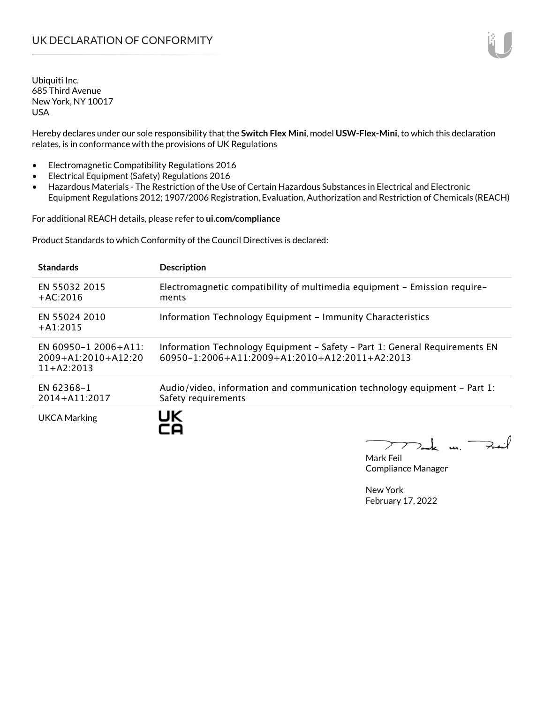Hereby declares under our sole responsibility that the **Switch Flex Mini**, model **USW-Flex-Mini**, to which this declaration relates, is in conformance with the provisions of UK Regulations

- Electromagnetic Compatibility Regulations 2016
- Electrical Equipment (Safety) Regulations 2016
- Hazardous Materials The Restriction of the Use of Certain Hazardous Substances in Electrical and Electronic Equipment Regulations 2012; 1907/2006 Registration, Evaluation, Authorization and Restriction of Chemicals (REACH)

For additional REACH details, please refer to **ui.com/compliance**

Product Standards to which Conformity of the Council Directives is declared:

| <b>Standards</b>                                              | <b>Description</b>                                                                                                                        |
|---------------------------------------------------------------|-------------------------------------------------------------------------------------------------------------------------------------------|
| EN 55032 2015<br>$+AC:2016$                                   | Electromagnetic compatibility of multimedia equipment – Emission require–<br>ments                                                        |
| EN 55024 2010<br>$+A1:2015$                                   | Information Technology Equipment - Immunity Characteristics                                                                               |
| EN 60950-1 2006+A11:<br>$2009+A1:2010+A12:20$<br>$11+AA:2013$ | Information Technology Equipment - Safety - Part 1: General Requirements EN<br>$60950 - 1:2006 + A11:2009 + A1:2010 + A12:2011 + A2:2013$ |
| EN 62368-1<br>2014+A11:2017                                   | Audio/video, information and communication technology equipment – Part 1:<br>Safety requirements                                          |
| <b>UKCA Marking</b>                                           | UK                                                                                                                                        |

Mak un.  $7.4$ 

Mark Feil Compliance Manager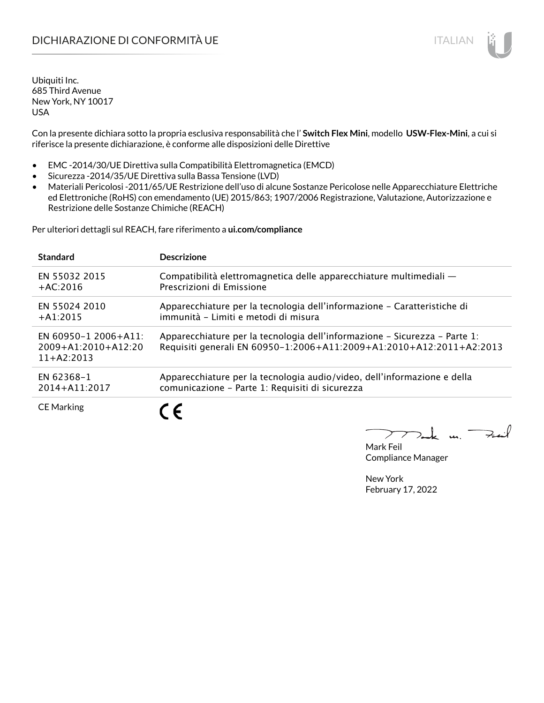Con la presente dichiara sotto la propria esclusiva responsabilità che l' **Switch Flex Mini**, modello **USW-Flex-Mini**, a cui si riferisce la presente dichiarazione, è conforme alle disposizioni delle Direttive

- EMC -2014/30/UE Direttiva sulla Compatibilità Elettromagnetica (EMCD)
- Sicurezza -2014/35/UE Direttiva sulla Bassa Tensione (LVD)
- Materiali Pericolosi -2011/65/UE Restrizione dell'uso di alcune Sostanze Pericolose nelle Apparecchiature Elettriche ed Elettroniche (RoHS) con emendamento (UE) 2015/863; 1907/2006 Registrazione, Valutazione, Autorizzazione e Restrizione delle Sostanze Chimiche (REACH)

Per ulteriori dettagli sul REACH, fare riferimento a **ui.com/compliance**

| <b>Standard</b>                                                   | <b>Descrizione</b>                                                                                                                                 |
|-------------------------------------------------------------------|----------------------------------------------------------------------------------------------------------------------------------------------------|
| EN 55032 2015                                                     | Compatibilità elettromagnetica delle apparecchiature multimediali —                                                                                |
| $+AC:2016$                                                        | Prescrizioni di Emissione                                                                                                                          |
| EN 55024 2010                                                     | Apparecchiature per la tecnologia dell'informazione – Caratteristiche di                                                                           |
| $+A1:2015$                                                        | immunità - Limiti e metodi di misura                                                                                                               |
| EN 60950-1 2006+A11:<br>$2009 + A1:2010 + A12:20$<br>$11+AA:2013$ | Apparecchiature per la tecnologia dell'informazione – Sicurezza – Parte 1:<br>Requisiti generali EN 60950-1:2006+A11:2009+A1:2010+A12:2011+A2:2013 |
| EN 62368-1                                                        | Apparecchiature per la tecnologia audio/video, dell'informazione e della                                                                           |
| 2014+A11:2017                                                     | comunicazione - Parte 1: Requisiti di sicurezza                                                                                                    |
| <b>CE Marking</b>                                                 | ╺                                                                                                                                                  |

 $\mathbf{u}$ 

Mark Feil Compliance Manager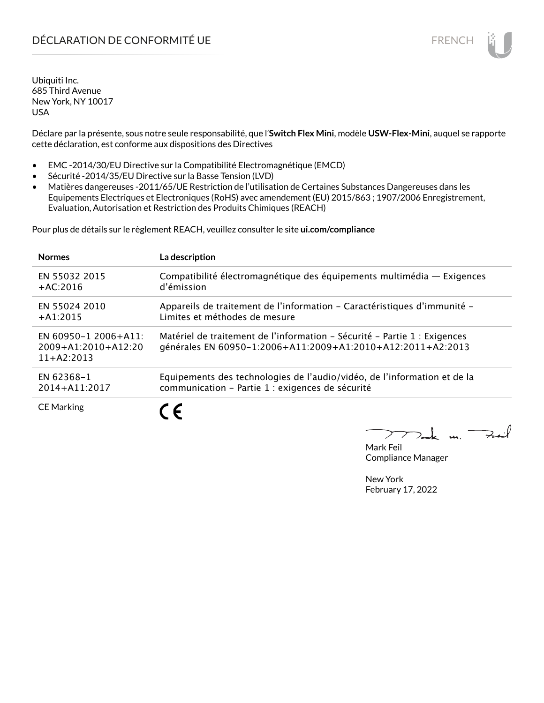## DÉCLARATION DE CONFORMITÉ UE EN ENCHANGEMENT DE CONFORMITÉ UNE ENCHANGEMENT DE CONFORMITÉ UNE ENCHANGEMENT DE

Ubiquiti Inc. 685 Third Avenue New York, NY 10017 USA

Déclare par la présente, sous notre seule responsabilité, que l'**Switch Flex Mini**, modèle **USW-Flex-Mini**, auquel se rapporte cette déclaration, est conforme aux dispositions des Directives

- EMC -2014/30/EU Directive sur la Compatibilité Electromagnétique (EMCD)
- Sécurité -2014/35/EU Directive sur la Basse Tension (LVD)
- Matières dangereuses -2011/65/UE Restriction de l'utilisation de Certaines Substances Dangereuses dans les Equipements Electriques et Electroniques (RoHS) avec amendement (EU) 2015/863 ; 1907/2006 Enregistrement, Evaluation, Autorisation et Restriction des Produits Chimiques (REACH)

Pour plus de détails sur le règlement REACH, veuillez consulter le site **ui.com/compliance**

| <b>Normes</b>                                                 | La description                                                                                                                           |
|---------------------------------------------------------------|------------------------------------------------------------------------------------------------------------------------------------------|
| EN 55032 2015                                                 | Compatibilité électromagnétique des équipements multimédia - Exigences                                                                   |
| $+AC:2016$                                                    | d'émission                                                                                                                               |
| EN 55024 2010                                                 | Appareils de traitement de l'information - Caractéristiques d'immunité -                                                                 |
| $+A1:2015$                                                    | Limites et méthodes de mesure                                                                                                            |
| EN 60950-1 2006+A11:<br>$2009+A1:2010+A12:20$<br>$11+AA:2013$ | Matériel de traitement de l'information - Sécurité - Partie 1 : Exigences<br>générales EN 60950-1:2006+A11:2009+A1:2010+A12:2011+A2:2013 |
| EN 62368-1                                                    | Equipements des technologies de l'audio/vidéo, de l'information et de la                                                                 |
| 2014+A11:2017                                                 | communication - Partie 1 : exigences de sécurité                                                                                         |
| <b>CE Marking</b>                                             | $\epsilon$                                                                                                                               |

 $\overline{\mathbf{u}}$ 

Mark Feil Compliance Manager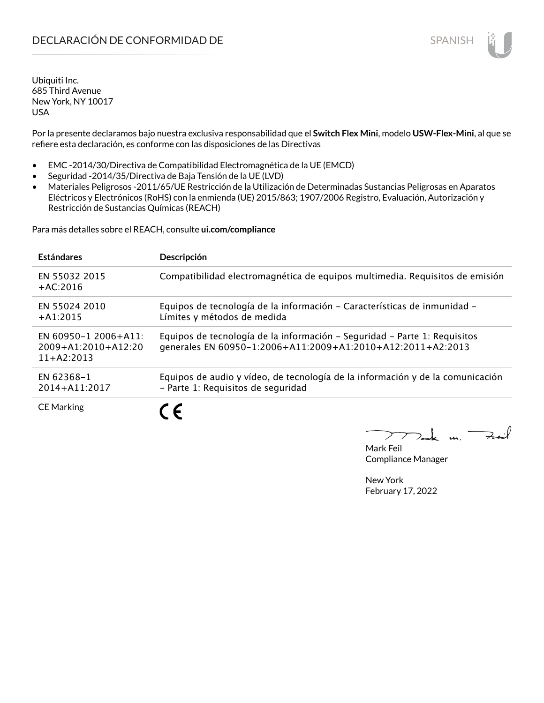Por la presente declaramos bajo nuestra exclusiva responsabilidad que el **Switch Flex Mini**, modelo **USW-Flex-Mini**, al que se refiere esta declaración, es conforme con las disposiciones de las Directivas

- EMC -2014/30/Directiva de Compatibilidad Electromagnética de la UE (EMCD)
- Seguridad -2014/35/Directiva de Baja Tensión de la UE (LVD)
- Materiales Peligrosos -2011/65/UE Restricción de la Utilización de Determinadas Sustancias Peligrosas en Aparatos Eléctricos y Electrónicos (RoHS) con la enmienda (UE) 2015/863; 1907/2006 Registro, Evaluación, Autorización y Restricción de Sustancias Químicas (REACH)

Para más detalles sobre el REACH, consulte **ui.com/compliance**

| <b>Estándares</b>                                             | Descripción                                                                                                                              |
|---------------------------------------------------------------|------------------------------------------------------------------------------------------------------------------------------------------|
| EN 55032 2015<br>$+AC:2016$                                   | Compatibilidad electromagnética de equipos multimedia. Requisitos de emisión                                                             |
| EN 55024 2010<br>$+41:2015$                                   | Equipos de tecnología de la información - Características de inmunidad -<br>Límites y métodos de medida                                  |
| EN 60950-1 2006+A11:<br>$2009+A1:2010+A12:20$<br>$11+42:2013$ | Equipos de tecnología de la información - Seguridad - Parte 1: Requisitos<br>generales EN 60950-1:2006+A11:2009+A1:2010+A12:2011+A2:2013 |
| EN 62368-1<br>2014+A11:2017                                   | Equipos de audio y vídeo, de tecnología de la información y de la comunicación<br>- Parte 1: Requisitos de seguridad                     |
| <b>CE Marking</b>                                             |                                                                                                                                          |

m. Fail

Mark Feil Compliance Manager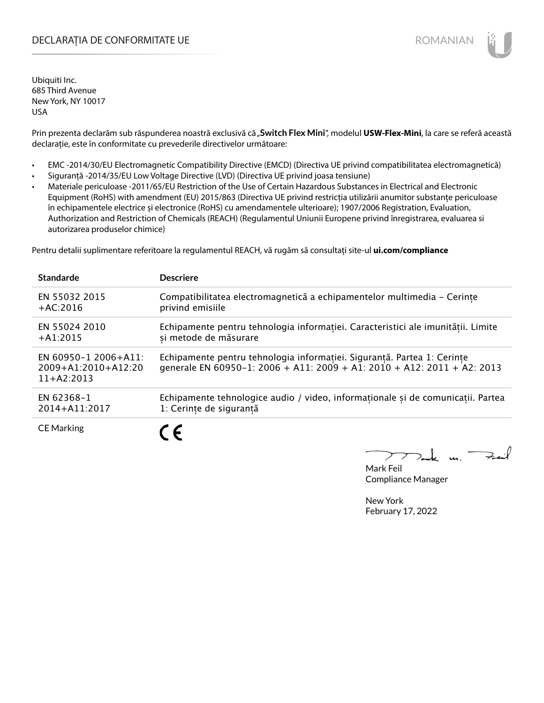## DECLARAȚIA DE CONFORMITATE UE EXECUTE DE ROMANIAN

Ubiquiti Inc. 685 Third Avenue New York, NY 10017 USA

Prin prezenta declarăm sub răspunderea noastră exclusivă că "Switch Flex Mini", modelul USW-Flex-Mini, la care se referă această declarație, este în conformitate cu prevederile directivelor următoare:

- EMC -2014/30/EU Electromagnetic Compatibility Directive (EMCD) (Directiva UE privind compatibilitatea electromagnetică)
- Siguranță -2014/35/EU Low Voltage Directive (LVD) (Directiva UE privind joasa tensiune)
- Materiale periculoase -2011/65/EU Restriction of the Use of Certain Hazardous Substances in Electrical and Electronic Equipment (RoHS) with amendment (EU) 2015/863 (Directiva UE privind restricția utilizării anumitor substanțe periculoase în echipamentele electrice și electronice (RoHS) cu amendamentele ulterioare); 1907/2006 Registration, Evaluation, Authorization and Restriction of Chemicals (REACH) (Regulamentul Uniunii Europene privind înregistrarea, evaluarea si autorizarea produselor chimice)

Pentru detalii suplimentare referitoare la regulamentul REACH, vă rugăm să consultați site-ul **ui.com/compliance**

| <b>Standarde</b>                                              | <b>Descriere</b>                                                                                                                                   |
|---------------------------------------------------------------|----------------------------------------------------------------------------------------------------------------------------------------------------|
| EN 55032 2015                                                 | Compatibilitatea electromagnetică a echipamentelor multimedia - Cerințe                                                                            |
| $+AC:2016$                                                    | privind emisiile                                                                                                                                   |
| EN 55024 2010                                                 | Echipamente pentru tehnologia informatiei. Caracteristici ale imunitătii. Limite                                                                   |
| $+A1:2015$                                                    | si metode de măsurare                                                                                                                              |
| EN 60950-1 2006+A11:<br>$2009+A1:2010+A12:20$<br>$11+AA:2013$ | Echipamente pentru tehnologia informației. Siguranță. Partea 1: Cerințe<br>generale EN 60950-1: 2006 + A11: 2009 + A1: 2010 + A12: 2011 + A2: 2013 |
| EN 62368-1                                                    | Echipamente tehnologice audio / video, informaționale și de comunicații. Partea                                                                    |
| 2014+A11:2017                                                 | 1: Cerințe de siguranță                                                                                                                            |
| <b>CE Marking</b>                                             | $\epsilon$                                                                                                                                         |

 $k$  un  $\rightarrow$ 

Mark Feil Compliance Manager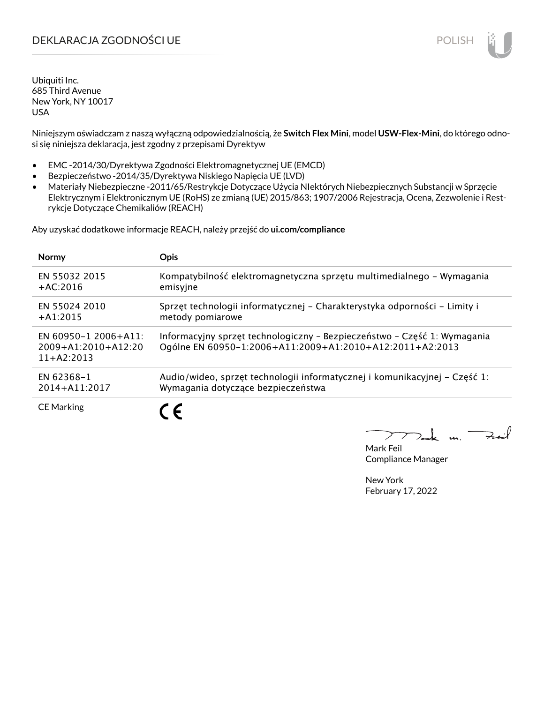## DEKLARACJA ZGODNOŚCI UE POLISH POLISH

Ubiquiti Inc. 685 Third Avenue New York, NY 10017 USA

Niniejszym oświadczam z naszą wyłączną odpowiedzialnością, że **Switch Flex Mini**, model **USW-Flex-Mini**, do którego odnosi się niniejsza deklaracja, jest zgodny z przepisami Dyrektyw

- EMC -2014/30/Dyrektywa Zgodności Elektromagnetycznej UE (EMCD)
- Bezpieczeństwo -2014/35/Dyrektywa Niskiego Napięcia UE (LVD)
- Materiały Niebezpieczne -2011/65/Restrykcje Dotyczące Użycia NIektórych Niebezpiecznych Substancji w Sprzęcie Elektrycznym i Elektronicznym UE (RoHS) ze zmianą (UE) 2015/863; 1907/2006 Rejestracja, Ocena, Zezwolenie i Restrykcje Dotyczące Chemikaliów (REACH)

Aby uzyskać dodatkowe informacje REACH, należy przejść do **ui.com/compliance**

| <b>Normy</b>                                                  | <b>Opis</b>                                                                                                                          |
|---------------------------------------------------------------|--------------------------------------------------------------------------------------------------------------------------------------|
| EN 55032 2015                                                 | Kompatybilność elektromagnetyczna sprzętu multimedialnego – Wymagania                                                                |
| $+AC:2016$                                                    | emisyjne                                                                                                                             |
| EN 55024 2010                                                 | Sprzęt technologii informatycznej – Charakterystyka odporności – Limity i                                                            |
| $+A1:2015$                                                    | metody pomiarowe                                                                                                                     |
| EN 60950-1 2006+A11:<br>$2009+A1:2010+A12:20$<br>$11+42:2013$ | Informacyjny sprzęt technologiczny - Bezpieczeństwo - Część 1: Wymagania<br>Ogólne EN 60950-1:2006+A11:2009+A1:2010+A12:2011+A2:2013 |
| EN 62368-1                                                    | Audio/wideo, sprzęt technologii informatycznej i komunikacyjnej – Część 1:                                                           |
| 2014+A11:2017                                                 | Wymagania dotyczące bezpieczeństwa                                                                                                   |
| <b>CE Marking</b>                                             |                                                                                                                                      |

 $u_1$   $\rightarrow$ 

Mark Feil Compliance Manager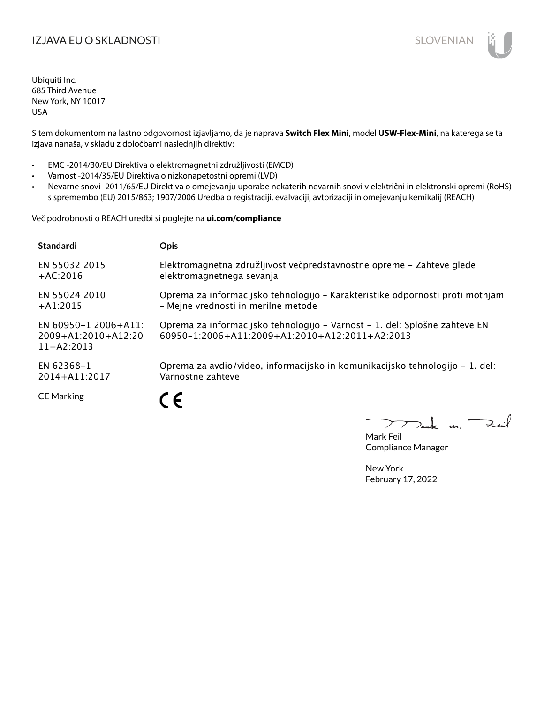## IZJAVA EU O SKLADNOSTI SLOVENIAN

Ubiquiti Inc. 685 Third Avenue New York, NY 10017 USA

S tem dokumentom na lastno odgovornost izjavljamo, da je naprava **Switch Flex Mini**, model **USW-Flex-Mini**, na katerega se ta izjava nanaša, v skladu z določbami naslednjih direktiv:

- EMC -2014/30/EU Direktiva o elektromagnetni združljivosti (EMCD)
- Varnost -2014/35/EU Direktiva o nizkonapetostni opremi (LVD)
- Nevarne snovi -2011/65/EU Direktiva o omejevanju uporabe nekaterih nevarnih snovi v električni in elektronski opremi (RoHS) s spremembo (EU) 2015/863; 1907/2006 Uredba o registraciji, evalvaciji, avtorizaciji in omejevanju kemikalij (REACH)

Več podrobnosti o REACH uredbi si poglejte na **ui.com/compliance**

| <b>Standardi</b>                                                  | <b>Opis</b>                                                                                                                              |
|-------------------------------------------------------------------|------------------------------------------------------------------------------------------------------------------------------------------|
| <b>EN 55032 2015</b>                                              | Elektromagnetna združljivost večpredstavnostne opreme - Zahteve glede                                                                    |
| $+AC:2016$                                                        | elektromagnetnega sevanja                                                                                                                |
| EN 55024 2010                                                     | Oprema za informacijsko tehnologijo - Karakteristike odpornosti proti motnjam                                                            |
| $+41:2015$                                                        | - Mejne vrednosti in merilne metode                                                                                                      |
| EN 60950-1 2006+A11:<br>$2009 + A1:2010 + A12:20$<br>$11+AA:2013$ | Oprema za informacijsko tehnologijo – Varnost – 1. del: Splošne zahteve EN<br>$60950 - 1:2006 + A11:2009 + A1:2010 + A12:2011 + A2:2013$ |
| <b>FN 62368-1</b>                                                 | Oprema za avdio/video, informacijsko in komunikacijsko tehnologijo – 1. del:                                                             |
| 2014+A11:2017                                                     | Varnostne zahteve                                                                                                                        |
| <b>CE Marking</b>                                                 | C F                                                                                                                                      |

un Fail

Mark Feil Compliance Manager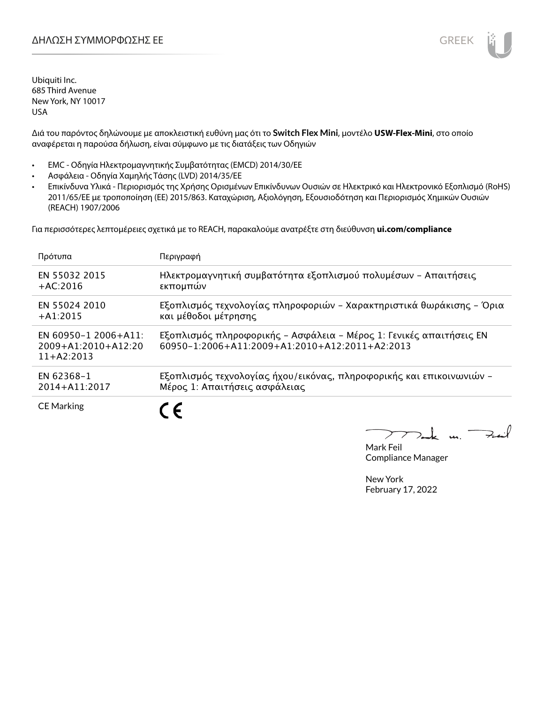Διά του παρόντος δηλώνουμε με αποκλειστική ευθύνη μας ότι το **Switch Flex Mini**, μοντέλο **USW-Flex-Mini**, στο οποίο αναφέρεται η παρούσα δήλωση, είναι σύμφωνο με τις διατάξεις των Οδηγιών

- EMC Οδηγία Ηλεκτρομαγνητικής Συμβατότητας (EMCD) 2014/30/ΕΕ
- Ασφάλεια Οδηγία Χαμηλής Τάσης (LVD) 2014/35/ΕΕ
- Επικίνδυνα Υλικά Περιορισμός της Χρήσης Ορισμένων Επικίνδυνων Ουσιών σε Ηλεκτρικό και Ηλεκτρονικό Εξοπλισμό (RoHS) 2011/65/ΕΕ με τροποποίηση (ΕΕ) 2015/863. Καταχώριση, Αξιολόγηση, Εξουσιοδότηση και Περιορισμός Χημικών Ουσιών (REACH) 1907/2006

Για περισσότερες λεπτομέρειες σχετικά με το REACH, παρακαλούμε ανατρέξτε στη διεύθυνση **ui.com/compliance**

| Πρότυπα                                                           | Περιγραφή                                                                                                                         |
|-------------------------------------------------------------------|-----------------------------------------------------------------------------------------------------------------------------------|
| EN 55032 2015                                                     | Ηλεκτρομαγνητική συμβατότητα εξοπλισμού πολυμέσων - Απαιτήσεις                                                                    |
| $+AC:2016$                                                        | εκπομπών                                                                                                                          |
| EN 55024 2010                                                     | Εξοπλισμός τεχνολογίας πληροφοριών - Χαρακτηριστικά θωράκισης - Όρια                                                              |
| $+A1:2015$                                                        | και μέθοδοι μέτρησης                                                                                                              |
| EN 60950-1 2006+A11:<br>$2009 + A1:2010 + A12:20$<br>$11+42:2013$ | Εξοπλισμός πληροφορικής - Ασφάλεια - Μέρος 1: Γενικές απαιτήσεις ΕΝ<br>$60950 - 1:2006 + A11:2009 + A1:2010 + A12:2011 + A2:2013$ |
| EN 62368-1                                                        | Εξοπλισμός τεχνολογίας ήχου/εικόνας, πληροφορικής και επικοινωνιών -                                                              |
| 2014+A11:2017                                                     | Μέρος 1: Απαιτήσεις ασφάλειας                                                                                                     |
| <b>CE Marking</b>                                                 |                                                                                                                                   |

 $\overline{u}$ . Fail

Mark Feil Compliance Manager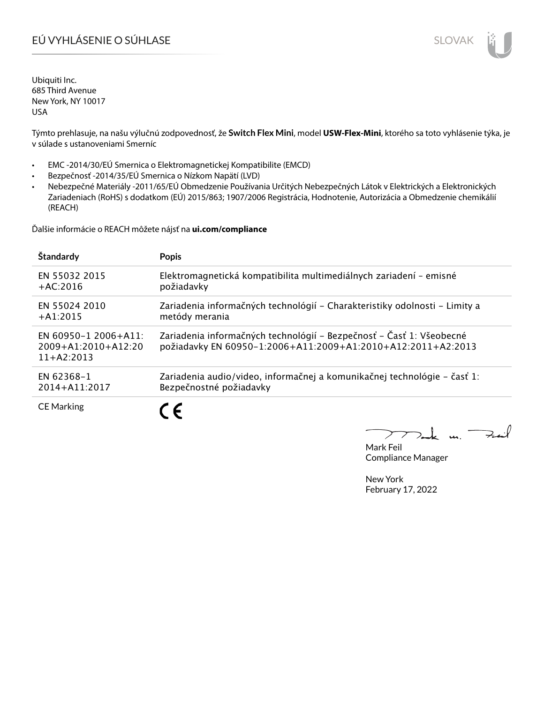# EÚ VYHLÁSENIE O SÚHLASE SLOVAK SLOVAK

Ubiquiti Inc. 685 Third Avenue New York, NY 10017 USA

Týmto prehlasuje, na našu výlučnú zodpovednosť, že **Switch Flex Mini**, model **USW-Flex-Mini**, ktorého sa toto vyhlásenie týka, je v súlade s ustanoveniami Smerníc

- EMC -2014/30/EÚ Smernica o Elektromagnetickej Kompatibilite (EMCD)
- Bezpečnosť -2014/35/EÚ Smernica o Nízkom Napätí (LVD)
- Nebezpečné Materiály -2011/65/EÚ Obmedzenie Používania Určitých Nebezpečných Látok v Elektrických a Elektronických Zariadeniach (RoHS) s dodatkom (EÚ) 2015/863; 1907/2006 Registrácia, Hodnotenie, Autorizácia a Obmedzenie chemikálií (REACH)

Ďalšie informácie o REACH môžete nájsť na **ui.com/compliance**

| Štandardy                                                         | <b>Popis</b>                                                                                                                         |
|-------------------------------------------------------------------|--------------------------------------------------------------------------------------------------------------------------------------|
| EN 55032 2015                                                     | Elektromagnetická kompatibilita multimediálnych zariadení – emisné                                                                   |
| $+AC:2016$                                                        | požiadavky                                                                                                                           |
| EN 55024 2010                                                     | Zariadenia informačných technológií – Charakteristiky odolnosti – Limity a                                                           |
| $+A1:2015$                                                        | metódy merania                                                                                                                       |
| EN 60950-1 2006+A11:<br>$2009 + A1:2010 + A12:20$<br>$11+AA:2013$ | Zariadenia informačných technológií – Bezpečnosť – Časť 1: Všeobecné<br>požiadavky EN 60950-1:2006+A11:2009+A1:2010+A12:2011+A2:2013 |
| EN 62368-1                                                        | Zariadenia audio/video, informačnej a komunikačnej technológie - časť 1:                                                             |
| 2014+A11:2017                                                     | Bezpečnostné požiadavky                                                                                                              |
| <b>CE Marking</b>                                                 |                                                                                                                                      |

 $u_{1}$   $\rightarrow$ 

Mark Feil Compliance Manager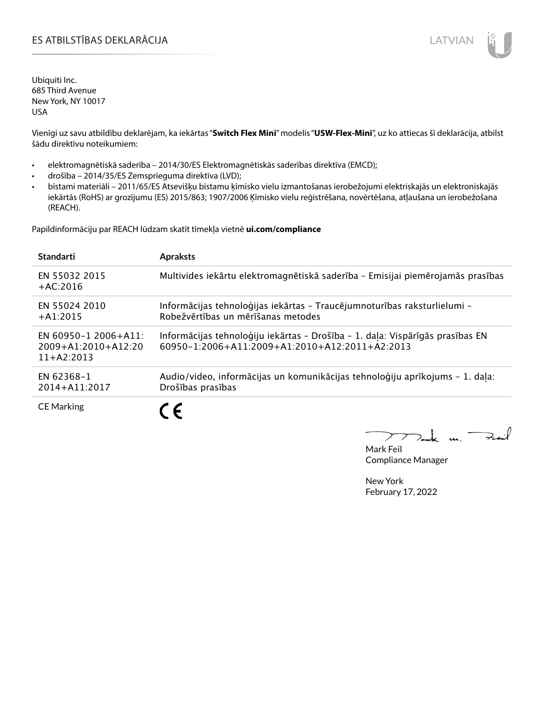## ES ATBILSTĪBAS DEKLARĀCIJA LATVIAN

Ubiquiti Inc. 685 Third Avenue New York, NY 10017 USA

Vienīgi uz savu atbildību deklarējam, ka iekārtas "**Switch Flex Mini**" modelis "**USW-Flex-Mini**", uz ko attiecas šī deklarācija, atbilst šādu direktīvu noteikumiem:

- elektromagnētiskā saderība 2014/30/ES Elektromagnētiskās saderības direktīva (EMCD);
- drošība 2014/35/ES Zemsprieguma direktīva (LVD);
- bīstami materiāli 2011/65/ES Atsevišķu bīstamu ķīmisko vielu izmantošanas ierobežojumi elektriskajās un elektroniskajās iekārtās (RoHS) ar grozījumu (ES) 2015/863; 1907/2006 Ķīmisko vielu reģistrēšana, novērtēšana, atļaušana un ierobežošana (REACH).

Papildinformāciju par REACH lūdzam skatīt tīmekļa vietnē **ui.com/compliance**

| <b>Standarti</b>                                              | <b>Apraksts</b>                                                                                                                 |
|---------------------------------------------------------------|---------------------------------------------------------------------------------------------------------------------------------|
| EN 55032 2015<br>$+AC:2016$                                   | Multivides iekārtu elektromagnētiskā saderība - Emisijai piemērojamās prasības                                                  |
| EN 55024 2010<br>$+A1:2015$                                   | Informācijas tehnoloģijas iekārtas - Traucējumnoturības raksturlielumi -<br>Robežvērtības un mērīšanas metodes                  |
| EN 60950-1 2006+A11:<br>$2009+A1:2010+A12:20$<br>$11+42:2013$ | Informācijas tehnoloģiju iekārtas - Drošība - 1. daļa: Vispārīgās prasības EN<br>60950-1:2006+A11:2009+A1:2010+A12:2011+A2:2013 |
| EN 62368-1<br>2014+A11:2017                                   | Audio/video, informācijas un komunikācijas tehnoloģiju aprīkojums - 1. daļa:<br>Drošības prasības                               |
| <b>CE Marking</b>                                             | $\epsilon$                                                                                                                      |

m. Fail

Mark Feil Compliance Manager